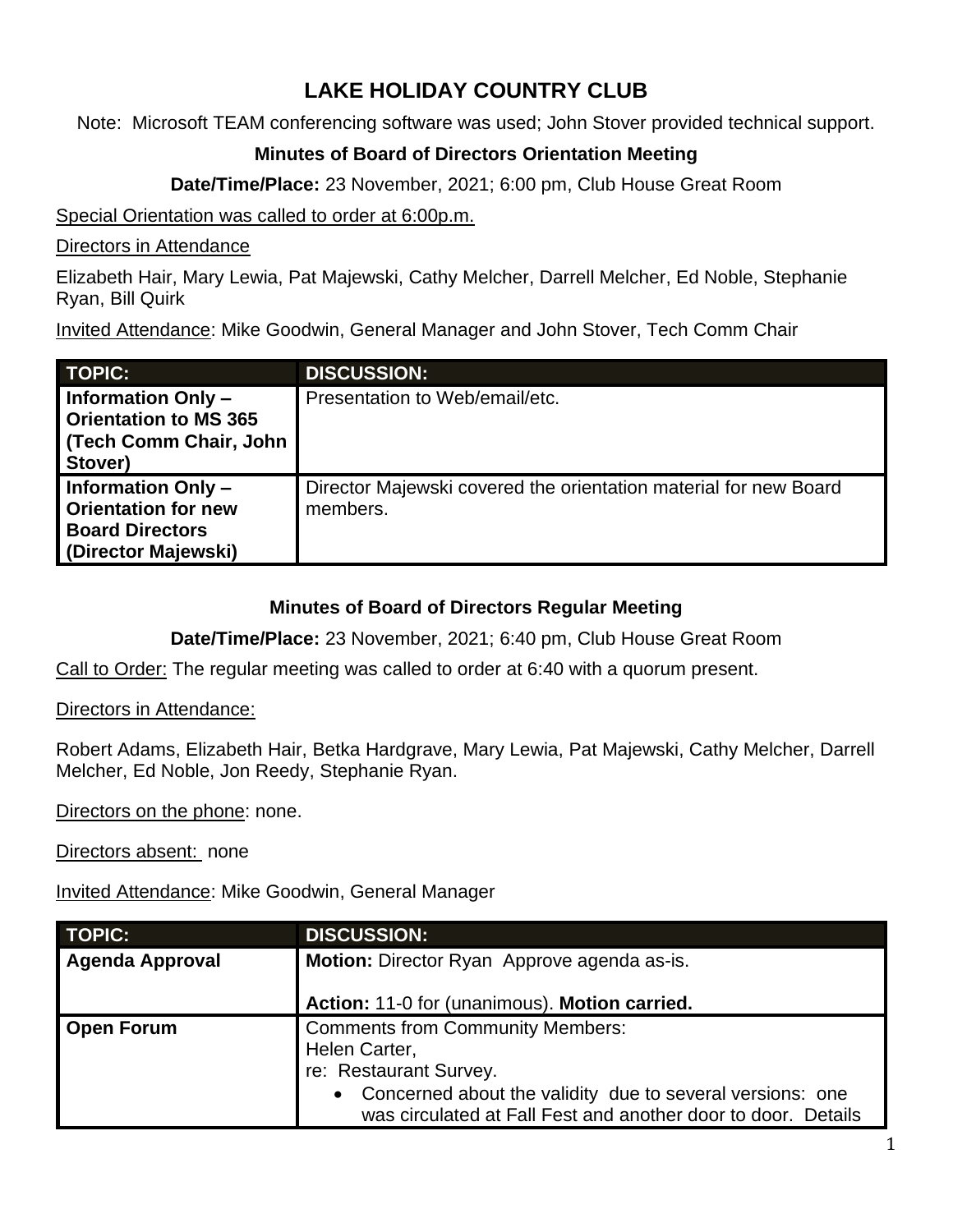## **LAKE HOLIDAY COUNTRY CLUB**

Note: Microsoft TEAM conferencing software was used; John Stover provided technical support.

## **Minutes of Board of Directors Orientation Meeting**

**Date/Time/Place:** 23 November, 2021; 6:00 pm, Club House Great Room

Special Orientation was called to order at 6:00p.m.

Directors in Attendance

Elizabeth Hair, Mary Lewia, Pat Majewski, Cathy Melcher, Darrell Melcher, Ed Noble, Stephanie Ryan, Bill Quirk

Invited Attendance: Mike Goodwin, General Manager and John Stover, Tech Comm Chair

| <b>TOPIC:</b>                                                                                           | <b>DISCUSSION:</b>                                                           |
|---------------------------------------------------------------------------------------------------------|------------------------------------------------------------------------------|
| Information Only -<br>Orientation to MS 365<br>  (Tech Comm Chair, John<br>Stover)                      | Presentation to Web/email/etc.                                               |
| <b>Information Only-</b><br><b>Orientation for new</b><br><b>Board Directors</b><br>(Director Majewski) | Director Majewski covered the orientation material for new Board<br>members. |

## **Minutes of Board of Directors Regular Meeting**

**Date/Time/Place:** 23 November, 2021; 6:40 pm, Club House Great Room

Call to Order: The regular meeting was called to order at 6:40 with a quorum present.

Directors in Attendance:

Robert Adams, Elizabeth Hair, Betka Hardgrave, Mary Lewia, Pat Majewski, Cathy Melcher, Darrell Melcher, Ed Noble, Jon Reedy, Stephanie Ryan.

Directors on the phone: none.

Directors absent: none

Invited Attendance: Mike Goodwin, General Manager

| <b>TOPIC:</b>          | <b>DISCUSSION:</b>                                                                                                                                                                                                 |
|------------------------|--------------------------------------------------------------------------------------------------------------------------------------------------------------------------------------------------------------------|
| <b>Agenda Approval</b> | Motion: Director Ryan Approve agenda as-is.                                                                                                                                                                        |
|                        | Action: 11-0 for (unanimous). Motion carried.                                                                                                                                                                      |
| <b>Open Forum</b>      | <b>Comments from Community Members:</b><br>Helen Carter,<br>re: Restaurant Survey.<br>• Concerned about the validity due to several versions: one<br>was circulated at Fall Fest and another door to door. Details |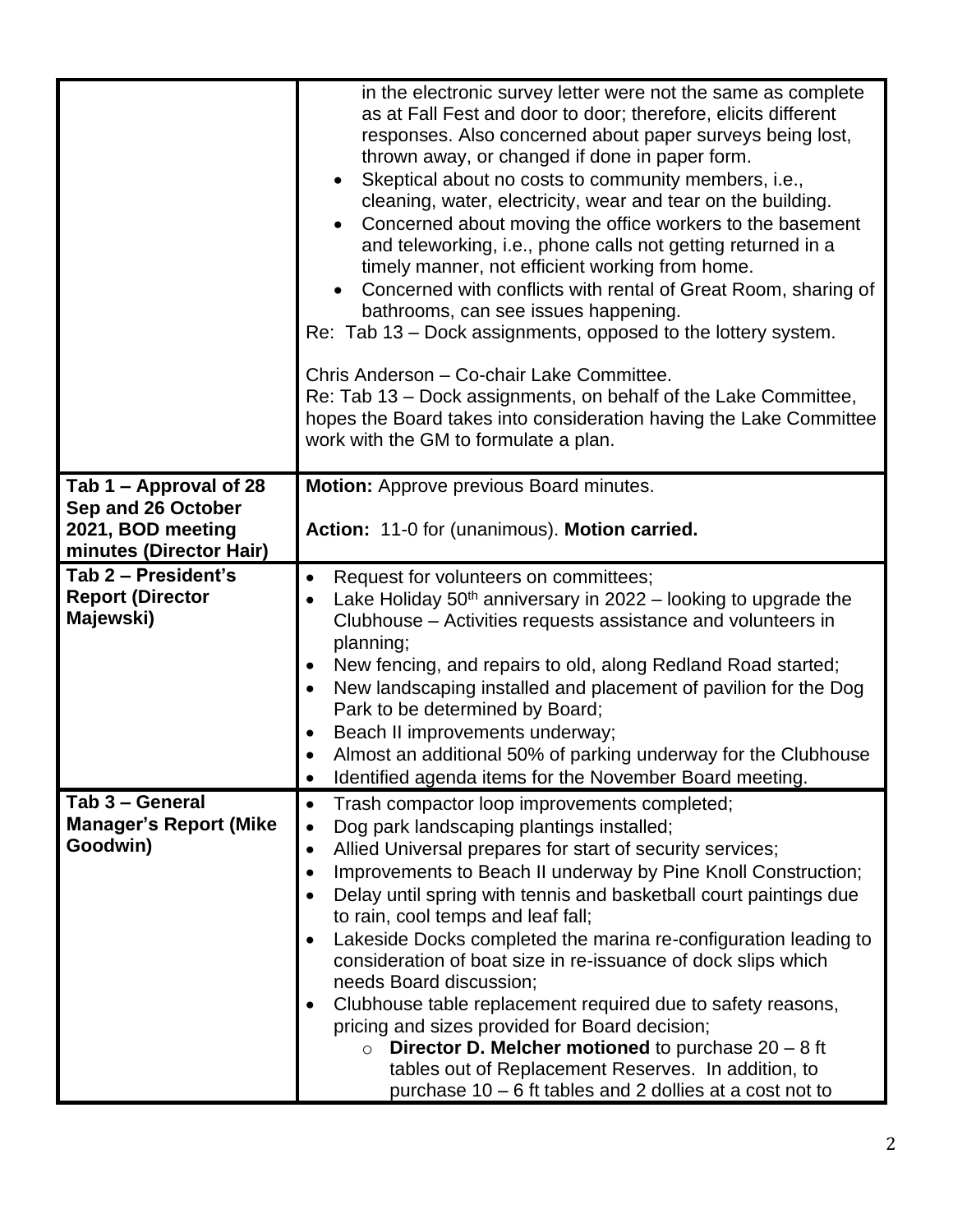|                                                                                              | in the electronic survey letter were not the same as complete<br>as at Fall Fest and door to door; therefore, elicits different<br>responses. Also concerned about paper surveys being lost,<br>thrown away, or changed if done in paper form.<br>Skeptical about no costs to community members, i.e.,<br>cleaning, water, electricity, wear and tear on the building.<br>Concerned about moving the office workers to the basement<br>and teleworking, i.e., phone calls not getting returned in a<br>timely manner, not efficient working from home.<br>Concerned with conflicts with rental of Great Room, sharing of<br>bathrooms, can see issues happening.<br>Re: Tab 13 – Dock assignments, opposed to the lottery system.<br>Chris Anderson - Co-chair Lake Committee.<br>Re: Tab 13 – Dock assignments, on behalf of the Lake Committee,<br>hopes the Board takes into consideration having the Lake Committee<br>work with the GM to formulate a plan. |
|----------------------------------------------------------------------------------------------|------------------------------------------------------------------------------------------------------------------------------------------------------------------------------------------------------------------------------------------------------------------------------------------------------------------------------------------------------------------------------------------------------------------------------------------------------------------------------------------------------------------------------------------------------------------------------------------------------------------------------------------------------------------------------------------------------------------------------------------------------------------------------------------------------------------------------------------------------------------------------------------------------------------------------------------------------------------|
| Tab 1 – Approval of 28<br>Sep and 26 October<br>2021, BOD meeting<br>minutes (Director Hair) | <b>Motion:</b> Approve previous Board minutes.<br>Action: 11-0 for (unanimous). Motion carried.                                                                                                                                                                                                                                                                                                                                                                                                                                                                                                                                                                                                                                                                                                                                                                                                                                                                  |
| Tab 2 - President's<br><b>Report (Director</b><br>Majewski)                                  | Request for volunteers on committees;<br>$\bullet$<br>Lake Holiday 50 <sup>th</sup> anniversary in 2022 – looking to upgrade the<br>$\bullet$<br>Clubhouse – Activities requests assistance and volunteers in<br>planning;<br>New fencing, and repairs to old, along Redland Road started;<br>New landscaping installed and placement of pavilion for the Dog<br>Park to be determined by Board;<br>Beach II improvements underway;<br>Almost an additional 50% of parking underway for the Clubhouse<br>Identified agenda items for the November Board meeting.<br>٠                                                                                                                                                                                                                                                                                                                                                                                            |
| Tab 3 - General<br><b>Manager's Report (Mike</b><br>Goodwin)                                 | Trash compactor loop improvements completed;<br>$\bullet$<br>Dog park landscaping plantings installed;<br>$\bullet$<br>Allied Universal prepares for start of security services;<br>$\bullet$<br>Improvements to Beach II underway by Pine Knoll Construction;<br>$\bullet$<br>Delay until spring with tennis and basketball court paintings due<br>to rain, cool temps and leaf fall;<br>Lakeside Docks completed the marina re-configuration leading to<br>$\bullet$<br>consideration of boat size in re-issuance of dock slips which<br>needs Board discussion;<br>Clubhouse table replacement required due to safety reasons,<br>$\bullet$<br>pricing and sizes provided for Board decision;<br><b>Director D. Melcher motioned</b> to purchase $20 - 8$ ft<br>$\circ$<br>tables out of Replacement Reserves. In addition, to<br>purchase 10 – 6 ft tables and 2 dollies at a cost not to                                                                    |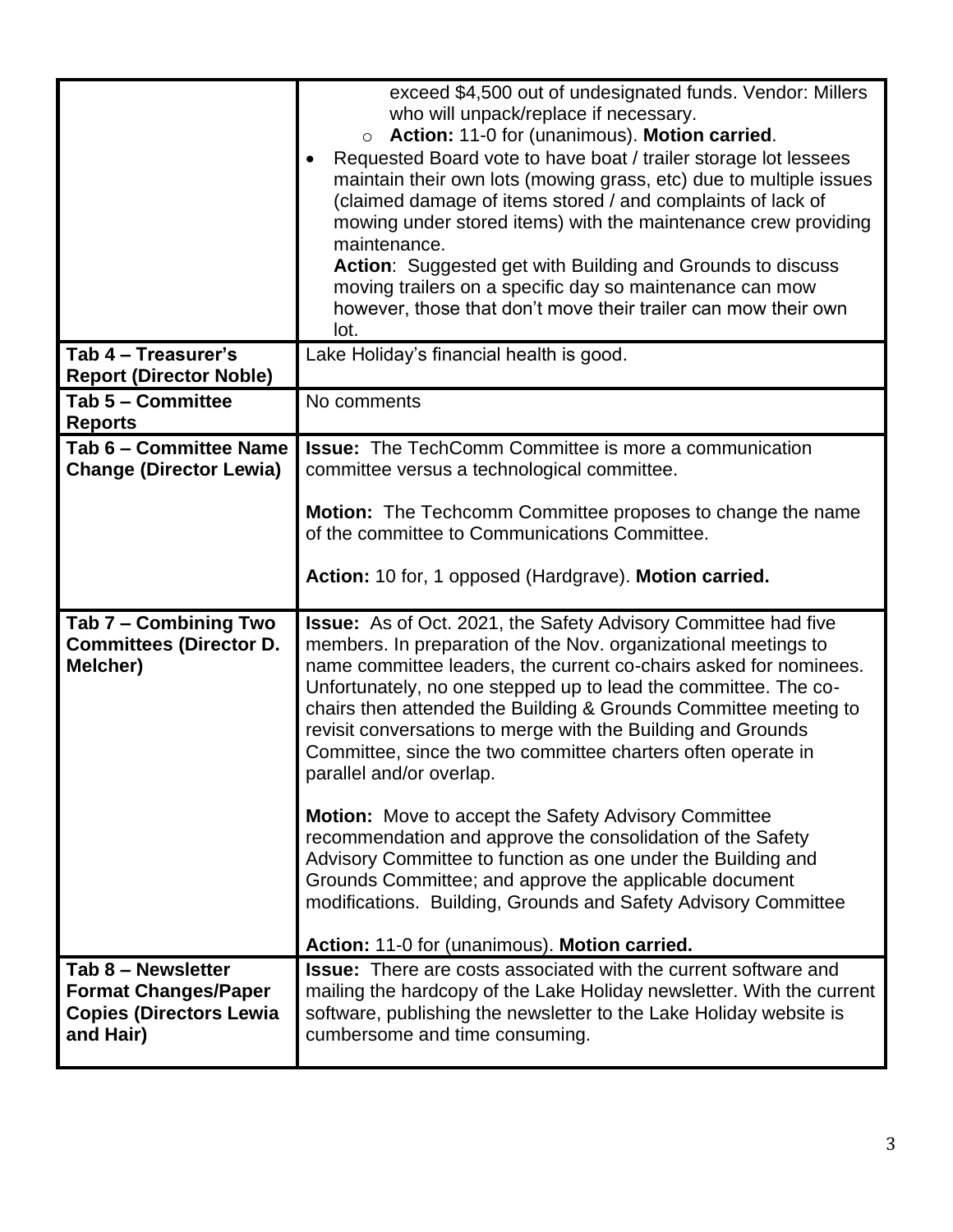|                                                                                                  | exceed \$4,500 out of undesignated funds. Vendor: Millers<br>who will unpack/replace if necessary.<br>Action: 11-0 for (unanimous). Motion carried.<br>$\circ$<br>Requested Board vote to have boat / trailer storage lot lessees<br>maintain their own lots (mowing grass, etc) due to multiple issues<br>(claimed damage of items stored / and complaints of lack of<br>mowing under stored items) with the maintenance crew providing<br>maintenance.<br>Action: Suggested get with Building and Grounds to discuss<br>moving trailers on a specific day so maintenance can mow<br>however, those that don't move their trailer can mow their own<br>lot.                                                                                                                                                                                                                              |
|--------------------------------------------------------------------------------------------------|-------------------------------------------------------------------------------------------------------------------------------------------------------------------------------------------------------------------------------------------------------------------------------------------------------------------------------------------------------------------------------------------------------------------------------------------------------------------------------------------------------------------------------------------------------------------------------------------------------------------------------------------------------------------------------------------------------------------------------------------------------------------------------------------------------------------------------------------------------------------------------------------|
| Tab 4 - Treasurer's<br><b>Report (Director Noble)</b>                                            | Lake Holiday's financial health is good.                                                                                                                                                                                                                                                                                                                                                                                                                                                                                                                                                                                                                                                                                                                                                                                                                                                  |
| Tab 5 - Committee<br><b>Reports</b>                                                              | No comments                                                                                                                                                                                                                                                                                                                                                                                                                                                                                                                                                                                                                                                                                                                                                                                                                                                                               |
| Tab 6 - Committee Name<br><b>Change (Director Lewia)</b>                                         | <b>Issue:</b> The TechComm Committee is more a communication<br>committee versus a technological committee.<br><b>Motion:</b> The Techcomm Committee proposes to change the name<br>of the committee to Communications Committee.<br>Action: 10 for, 1 opposed (Hardgrave). Motion carried.                                                                                                                                                                                                                                                                                                                                                                                                                                                                                                                                                                                               |
| Tab 7 - Combining Two<br><b>Committees (Director D.</b><br>Melcher)                              | <b>Issue:</b> As of Oct. 2021, the Safety Advisory Committee had five<br>members. In preparation of the Nov. organizational meetings to<br>name committee leaders, the current co-chairs asked for nominees.<br>Unfortunately, no one stepped up to lead the committee. The co-<br>chairs then attended the Building & Grounds Committee meeting to<br>revisit conversations to merge with the Building and Grounds<br>Committee, since the two committee charters often operate in<br>parallel and/or overlap.<br><b>Motion:</b> Move to accept the Safety Advisory Committee<br>recommendation and approve the consolidation of the Safety<br>Advisory Committee to function as one under the Building and<br>Grounds Committee; and approve the applicable document<br>modifications. Building, Grounds and Safety Advisory Committee<br>Action: 11-0 for (unanimous). Motion carried. |
| Tab 8 - Newsletter<br><b>Format Changes/Paper</b><br><b>Copies (Directors Lewia</b><br>and Hair) | <b>Issue:</b> There are costs associated with the current software and<br>mailing the hardcopy of the Lake Holiday newsletter. With the current<br>software, publishing the newsletter to the Lake Holiday website is<br>cumbersome and time consuming.                                                                                                                                                                                                                                                                                                                                                                                                                                                                                                                                                                                                                                   |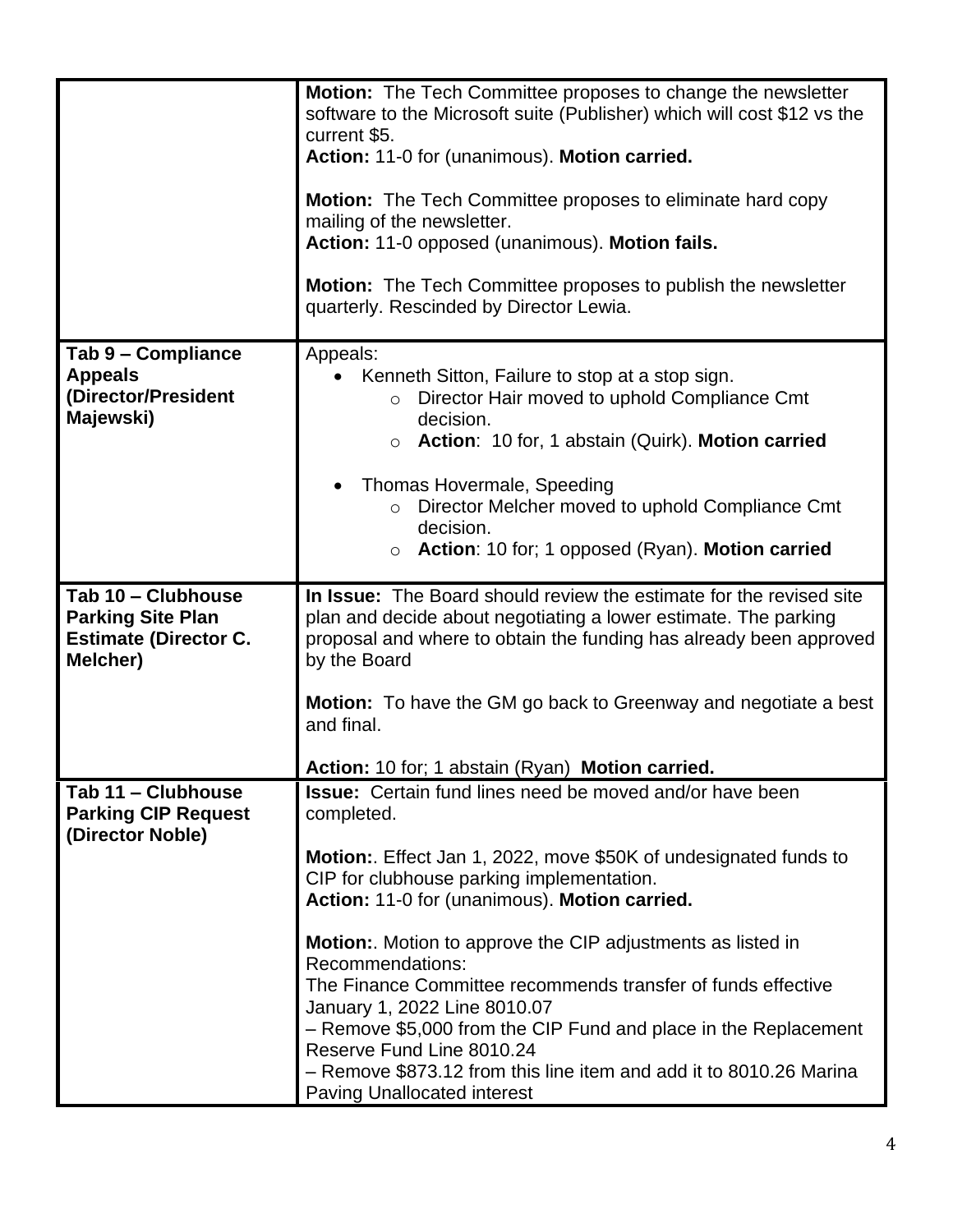|                                                                                            | <b>Motion:</b> The Tech Committee proposes to change the newsletter<br>software to the Microsoft suite (Publisher) which will cost \$12 vs the<br>current \$5.                                                               |
|--------------------------------------------------------------------------------------------|------------------------------------------------------------------------------------------------------------------------------------------------------------------------------------------------------------------------------|
|                                                                                            | Action: 11-0 for (unanimous). Motion carried.                                                                                                                                                                                |
|                                                                                            | <b>Motion:</b> The Tech Committee proposes to eliminate hard copy<br>mailing of the newsletter.                                                                                                                              |
|                                                                                            | Action: 11-0 opposed (unanimous). Motion fails.                                                                                                                                                                              |
|                                                                                            | Motion: The Tech Committee proposes to publish the newsletter<br>quarterly. Rescinded by Director Lewia.                                                                                                                     |
| Tab 9 - Compliance<br><b>Appeals</b><br>(Director/President<br>Majewski)                   | Appeals:<br>Kenneth Sitton, Failure to stop at a stop sign.<br>Director Hair moved to uphold Compliance Cmt<br>$\circ$<br>decision.<br>Action: 10 for, 1 abstain (Quirk). Motion carried<br>$\circ$                          |
|                                                                                            | Thomas Hovermale, Speeding<br>Director Melcher moved to uphold Compliance Cmt<br>decision.<br>Action: 10 for; 1 opposed (Ryan). Motion carried<br>$\circ$                                                                    |
| Tab 10 - Clubhouse<br><b>Parking Site Plan</b><br><b>Estimate (Director C.</b><br>Melcher) | In Issue: The Board should review the estimate for the revised site<br>plan and decide about negotiating a lower estimate. The parking<br>proposal and where to obtain the funding has already been approved<br>by the Board |
|                                                                                            | Motion: To have the GM go back to Greenway and negotiate a best<br>and final.                                                                                                                                                |
|                                                                                            | Action: 10 for; 1 abstain (Ryan) Motion carried.                                                                                                                                                                             |
| Tab 11 - Clubhouse<br><b>Parking CIP Request</b><br>(Director Noble)                       | <b>Issue:</b> Certain fund lines need be moved and/or have been<br>completed.                                                                                                                                                |
|                                                                                            | Motion:. Effect Jan 1, 2022, move \$50K of undesignated funds to<br>CIP for clubhouse parking implementation.<br>Action: 11-0 for (unanimous). Motion carried.                                                               |
|                                                                                            | <b>Motion:.</b> Motion to approve the CIP adjustments as listed in<br>Recommendations:<br>The Finance Committee recommends transfer of funds effective                                                                       |
|                                                                                            | January 1, 2022 Line 8010.07<br>- Remove \$5,000 from the CIP Fund and place in the Replacement<br>Reserve Fund Line 8010.24                                                                                                 |
|                                                                                            | - Remove \$873.12 from this line item and add it to 8010.26 Marina<br><b>Paving Unallocated interest</b>                                                                                                                     |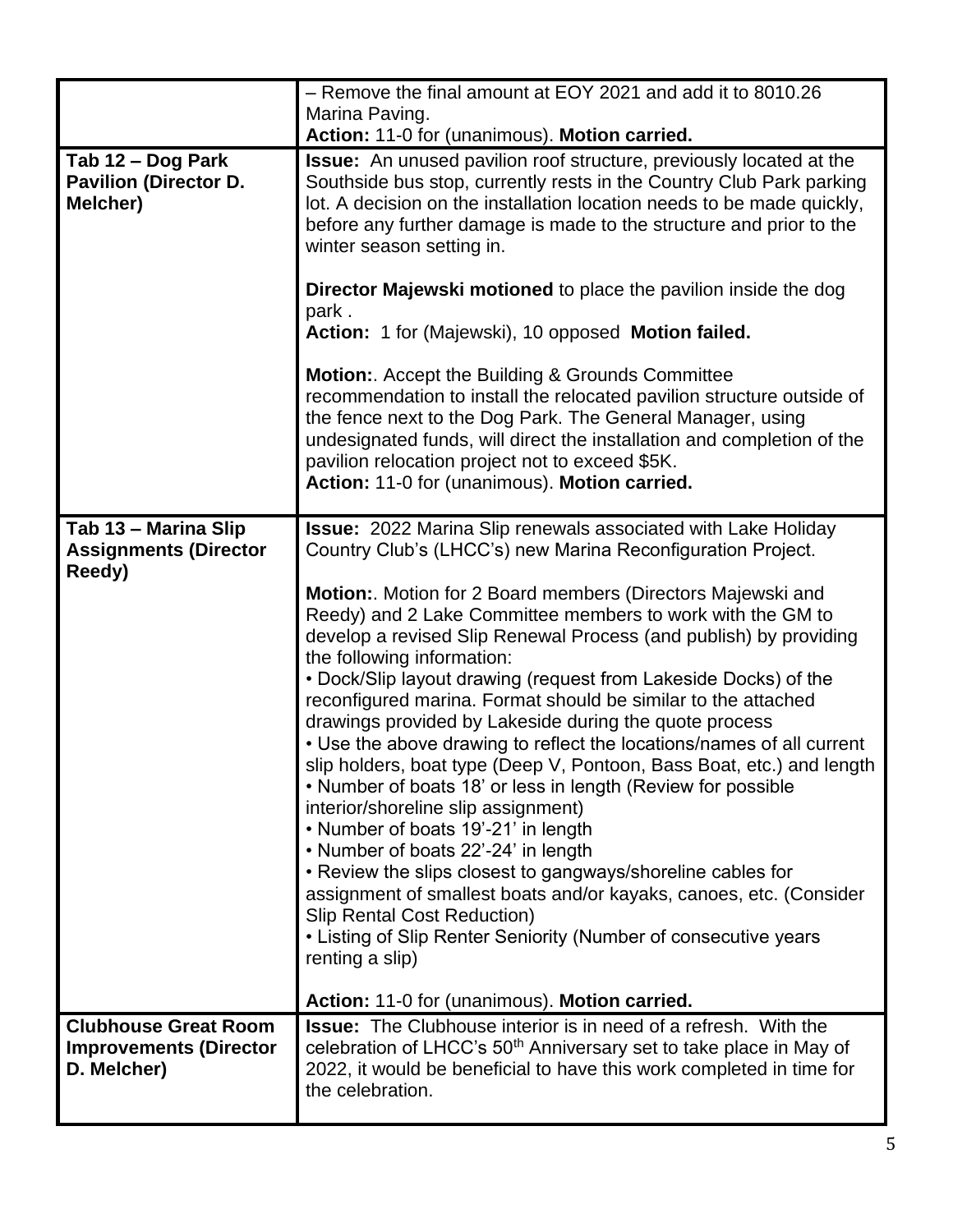|                                                                             | - Remove the final amount at EOY 2021 and add it to 8010.26                                                                                                                                                                                                                                                                                                                                                                                                                                                                                                                                                                                                                                                                                                                                                                                                                                                                                                                                                                                                                         |
|-----------------------------------------------------------------------------|-------------------------------------------------------------------------------------------------------------------------------------------------------------------------------------------------------------------------------------------------------------------------------------------------------------------------------------------------------------------------------------------------------------------------------------------------------------------------------------------------------------------------------------------------------------------------------------------------------------------------------------------------------------------------------------------------------------------------------------------------------------------------------------------------------------------------------------------------------------------------------------------------------------------------------------------------------------------------------------------------------------------------------------------------------------------------------------|
|                                                                             | Marina Paving.<br>Action: 11-0 for (unanimous). Motion carried.                                                                                                                                                                                                                                                                                                                                                                                                                                                                                                                                                                                                                                                                                                                                                                                                                                                                                                                                                                                                                     |
| Tab 12 – Dog Park<br><b>Pavilion (Director D.</b><br>Melcher)               | <b>Issue:</b> An unused pavilion roof structure, previously located at the<br>Southside bus stop, currently rests in the Country Club Park parking<br>lot. A decision on the installation location needs to be made quickly,<br>before any further damage is made to the structure and prior to the<br>winter season setting in.                                                                                                                                                                                                                                                                                                                                                                                                                                                                                                                                                                                                                                                                                                                                                    |
|                                                                             | <b>Director Majewski motioned to place the pavilion inside the dog</b><br>park.<br>Action: 1 for (Majewski), 10 opposed Motion failed.                                                                                                                                                                                                                                                                                                                                                                                                                                                                                                                                                                                                                                                                                                                                                                                                                                                                                                                                              |
|                                                                             | <b>Motion:.</b> Accept the Building & Grounds Committee<br>recommendation to install the relocated pavilion structure outside of<br>the fence next to the Dog Park. The General Manager, using<br>undesignated funds, will direct the installation and completion of the<br>pavilion relocation project not to exceed \$5K.<br>Action: 11-0 for (unanimous). Motion carried.                                                                                                                                                                                                                                                                                                                                                                                                                                                                                                                                                                                                                                                                                                        |
| Tab 13 - Marina Slip<br><b>Assignments (Director</b><br>Reedy)              | <b>Issue:</b> 2022 Marina Slip renewals associated with Lake Holiday<br>Country Club's (LHCC's) new Marina Reconfiguration Project.                                                                                                                                                                                                                                                                                                                                                                                                                                                                                                                                                                                                                                                                                                                                                                                                                                                                                                                                                 |
|                                                                             | Motion:. Motion for 2 Board members (Directors Majewski and<br>Reedy) and 2 Lake Committee members to work with the GM to<br>develop a revised Slip Renewal Process (and publish) by providing<br>the following information:<br>• Dock/Slip layout drawing (request from Lakeside Docks) of the<br>reconfigured marina. Format should be similar to the attached<br>drawings provided by Lakeside during the quote process<br>• Use the above drawing to reflect the locations/names of all current<br>slip holders, boat type (Deep V, Pontoon, Bass Boat, etc.) and length<br>• Number of boats 18' or less in length (Review for possible<br>interior/shoreline slip assignment)<br>• Number of boats 19'-21' in length<br>• Number of boats 22'-24' in length<br>• Review the slips closest to gangways/shoreline cables for<br>assignment of smallest boats and/or kayaks, canoes, etc. (Consider<br><b>Slip Rental Cost Reduction)</b><br>• Listing of Slip Renter Seniority (Number of consecutive years<br>renting a slip)<br>Action: 11-0 for (unanimous). Motion carried. |
| <b>Clubhouse Great Room</b><br><b>Improvements (Director</b><br>D. Melcher) | <b>Issue:</b> The Clubhouse interior is in need of a refresh. With the<br>celebration of LHCC's 50 <sup>th</sup> Anniversary set to take place in May of<br>2022, it would be beneficial to have this work completed in time for                                                                                                                                                                                                                                                                                                                                                                                                                                                                                                                                                                                                                                                                                                                                                                                                                                                    |
|                                                                             | the celebration.                                                                                                                                                                                                                                                                                                                                                                                                                                                                                                                                                                                                                                                                                                                                                                                                                                                                                                                                                                                                                                                                    |